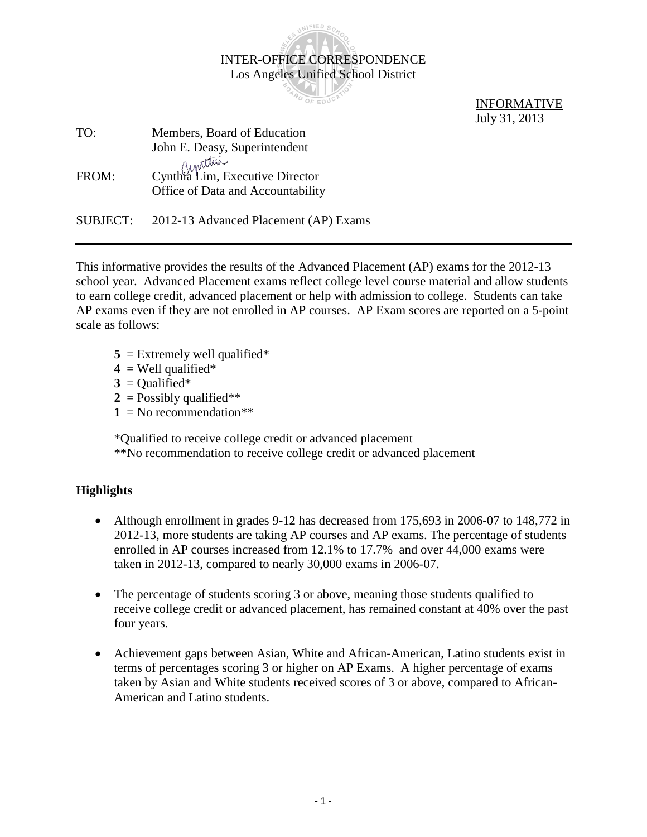|          | <b>INTER-OFFICE CORRESPONDENCE</b>    |                    |
|----------|---------------------------------------|--------------------|
|          | Los Angeles Unified School District   |                    |
|          |                                       |                    |
|          |                                       | <b>INFORMATIVE</b> |
|          |                                       | July 31, 2013      |
| TO:      | Members, Board of Education           |                    |
|          | John E. Deasy, Superintendent         |                    |
|          | Ainstrum                              |                    |
| FROM:    | Cynthia Lim, Executive Director       |                    |
|          | Office of Data and Accountability     |                    |
|          |                                       |                    |
| SUBJECT: | 2012-13 Advanced Placement (AP) Exams |                    |

INFIED

This informative provides the results of the Advanced Placement (AP) exams for the 2012-13 school year. Advanced Placement exams reflect college level course material and allow students to earn college credit, advanced placement or help with admission to college. Students can take AP exams even if they are not enrolled in AP courses. AP Exam scores are reported on a 5-point scale as follows:

- $5 =$  Extremely well qualified\*
- $4 =$  Well qualified\*
- $3 =$ Qualified\*
- $2 =$ Possibly qualified\*\*
- $1 = No$  recommendation\*\*

\*Qualified to receive college credit or advanced placement

\*\*No recommendation to receive college credit or advanced placement

## **Highlights**

- Although enrollment in grades 9-12 has decreased from 175,693 in 2006-07 to 148,772 in 2012-13, more students are taking AP courses and AP exams. The percentage of students enrolled in AP courses increased from 12.1% to 17.7% and over 44,000 exams were taken in 2012-13, compared to nearly 30,000 exams in 2006-07.
- The percentage of students scoring 3 or above, meaning those students qualified to receive college credit or advanced placement, has remained constant at 40% over the past four years.
- Achievement gaps between Asian, White and African-American, Latino students exist in terms of percentages scoring 3 or higher on AP Exams. A higher percentage of exams taken by Asian and White students received scores of 3 or above, compared to African-American and Latino students.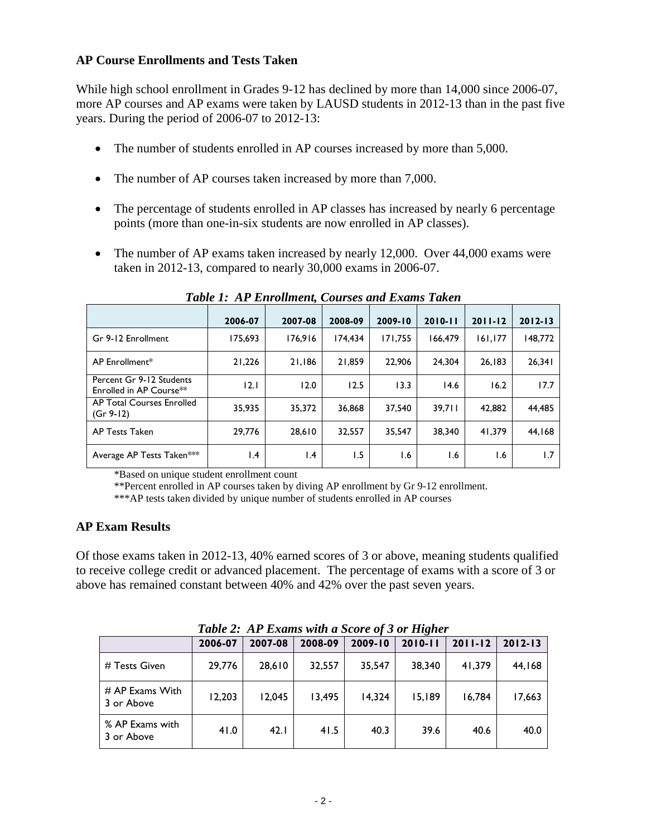## **AP Course Enrollments and Tests Taken**

While high school enrollment in Grades 9-12 has declined by more than 14,000 since 2006-07, more AP courses and AP exams were taken by LAUSD students in 2012-13 than in the past five years. During the period of 2006-07 to 2012-13:

- The number of students enrolled in AP courses increased by more than 5,000.
- The number of AP courses taken increased by more than 7,000.
- The percentage of students enrolled in AP classes has increased by nearly 6 percentage points (more than one-in-six students are now enrolled in AP classes).
- The number of AP exams taken increased by nearly 12,000. Over 44,000 exams were taken in 2012-13, compared to nearly 30,000 exams in 2006-07.

|                                                     | 2006-07 | 2007-08         | 2008-09 | 2009-10 | $2010 - 11$ | $2011 - 12$ | $2012 - 13$ |
|-----------------------------------------------------|---------|-----------------|---------|---------|-------------|-------------|-------------|
| Gr 9-12 Enrollment                                  | 175,693 | 176.916         | 174.434 | 171.755 | 166.479     | 161,177     | 148,772     |
| AP Enrollment*                                      | 21.226  | 21.186          | 21,859  | 22.906  | 24.304      | 26.183      | 26.341      |
| Percent Gr 9-12 Students<br>Enrolled in AP Course** | 12.1    | 12.0            | 12.5    | 13.3    | 14.6        | 16.2        | 17.7        |
| AP Total Courses Enrolled<br>$(Gr 9-12)$            | 35.935  | 35,372          | 36,868  | 37.540  | 39.711      | 42,882      | 44.485      |
| AP Tests Taken                                      | 29.776  | 28.610          | 32,557  | 35.547  | 38.340      | 41.379      | 44.168      |
| Average AP Tests Taken***                           | l.4     | $\mathsf{I}$ .4 | 1.5     | 1.6     | 1.6         | 6. ا        | 1.7         |

*Table 1: AP Enrollment, Courses and Exams Taken*

\*Based on unique student enrollment count

\*\*Percent enrolled in AP courses taken by diving AP enrollment by Gr 9-12 enrollment.

\*\*\*AP tests taken divided by unique number of students enrolled in AP courses

## **AP Exam Results**

Of those exams taken in 2012-13, 40% earned scores of 3 or above, meaning students qualified to receive college credit or advanced placement. The percentage of exams with a score of 3 or above has remained constant between 40% and 42% over the past seven years.

|                                 |         |         |         |             | Table 2: Ar Exams with a Score of 3 or Higher |             |             |
|---------------------------------|---------|---------|---------|-------------|-----------------------------------------------|-------------|-------------|
|                                 | 2006-07 | 2007-08 | 2008-09 | $2009 - 10$ | $2010 - 11$                                   | $2011 - 12$ | $2012 - 13$ |
| # Tests Given                   | 29,776  | 28.610  | 32,557  | 35,547      | 38,340                                        | 41,379      | 44,168      |
| $#$ AP Exams With<br>3 or Above | 12,203  | 12,045  | 13,495  | 14,324      | 15,189                                        | 16.784      | 17,663      |
| % AP Exams with<br>3 or Above   | 41.0    | 42.1    | 41.5    | 40.3        | 39.6                                          | 40.6        | 40.0        |

*Table 2: AP Exams with a Score of 3 or Higher*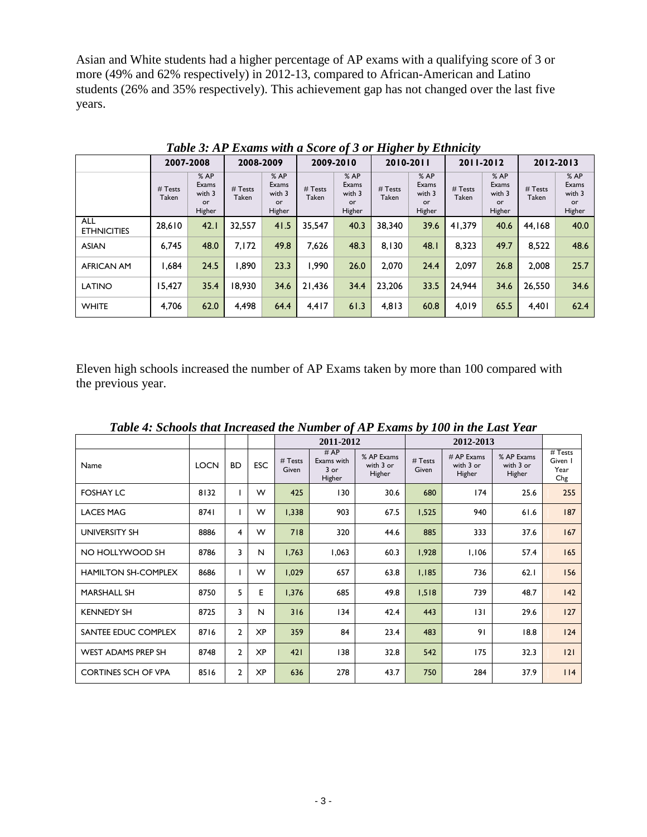Asian and White students had a higher percentage of AP exams with a qualifying score of 3 or more (49% and 62% respectively) in 2012-13, compared to African-American and Latino students (26% and 35% respectively). This achievement gap has not changed over the last five years.

| $\sim$<br><u>- J</u>             |                  |                                        |                  |                                        |                  |                                        |                  |                                        |                  |                                         |                  |                                         |
|----------------------------------|------------------|----------------------------------------|------------------|----------------------------------------|------------------|----------------------------------------|------------------|----------------------------------------|------------------|-----------------------------------------|------------------|-----------------------------------------|
|                                  | 2007-2008        |                                        | 2008-2009        |                                        | 2009-2010        |                                        | 2010-2011        |                                        | 2011-2012        |                                         | 2012-2013        |                                         |
|                                  | # Tests<br>Taken | %AP<br>Exams<br>with 3<br>or<br>Higher | # Tests<br>Taken | %AP<br>Exams<br>with 3<br>or<br>Higher | # Tests<br>Taken | %AP<br>Exams<br>with 3<br>or<br>Higher | # Tests<br>Taken | %AP<br>Exams<br>with 3<br>or<br>Higher | # Tests<br>Taken | % AP<br>Exams<br>with 3<br>or<br>Higher | # Tests<br>Taken | % AP<br>Exams<br>with 3<br>or<br>Higher |
| <b>ALL</b><br><b>ETHNICITIES</b> | 28,610           | 42.1                                   | 32,557           | 41.5                                   | 35.547           | 40.3                                   | 38.340           | 39.6                                   | 41.379           | 40.6                                    | 44.168           | 40.0                                    |
| <b>ASIAN</b>                     | 6,745            | 48.0                                   | 7,172            | 49.8                                   | 7.626            | 48.3                                   | 8.130            | 48.1                                   | 8,323            | 49.7                                    | 8,522            | 48.6                                    |
| <b>AFRICAN AM</b>                | 844.ا            | 24.5                                   | 1.890            | 23.3                                   | 1.990            | 26.0                                   | 2,070            | 24.4                                   | 2.097            | 26.8                                    | 2.008            | 25.7                                    |
| <b>LATINO</b>                    | 15.427           | 35.4                                   | 18.930           | 34.6                                   | 21.436           | 34.4                                   | 23,206           | 33.5                                   | 24.944           | 34.6                                    | 26.550           | 34.6                                    |
| <b>WHITE</b>                     | 4,706            | 62.0                                   | 4,498            | 64.4                                   | 4,417            | 61.3                                   | 4,813            | 60.8                                   | 4,019            | 65.5                                    | 4,401            | 62.4                                    |

*Table 3: AP Exams with a Score of 3 or Higher by Ethnicity*

Eleven high schools increased the number of AP Exams taken by more than 100 compared with the previous year.

| Tubic 7. Schools that thereused the trainber of the Exams by Too in the East Tear |             |                |            |                  |                                       |                                   |                  |                                     |                                   |                                     |  |  |  |
|-----------------------------------------------------------------------------------|-------------|----------------|------------|------------------|---------------------------------------|-----------------------------------|------------------|-------------------------------------|-----------------------------------|-------------------------------------|--|--|--|
|                                                                                   |             |                |            |                  | 2011-2012                             |                                   |                  |                                     |                                   |                                     |  |  |  |
| Name                                                                              | <b>LOCN</b> | <b>BD</b>      | <b>ESC</b> | # Tests<br>Given | #AP<br>Exams with<br>$3$ or<br>Higher | % AP Exams<br>with 3 or<br>Higher | # Tests<br>Given | $# AP$ Exams<br>with 3 or<br>Higher | % AP Exams<br>with 3 or<br>Higher | $#$ Tests<br>Given I<br>Year<br>Chg |  |  |  |
| <b>FOSHAY LC</b>                                                                  | 8132        | L              | W          | 425              | 130                                   | 30.6                              | 680              | 174                                 | 25.6                              | 255                                 |  |  |  |
| <b>LACES MAG</b>                                                                  | 8741        | L              | W          | 1,338            | 903                                   | 67.5                              | 1,525            | 940                                 | 61.6                              | 187                                 |  |  |  |
| UNIVERSITY SH                                                                     | 8886        | $\overline{4}$ | W          | 718              | 320                                   | 44.6                              | 885              | 333                                 | 37.6                              | 167                                 |  |  |  |
| NO HOLLYWOOD SH                                                                   | 8786        | 3              | N          | 1,763            | 1,063                                 | 60.3                              | 1,928            | 1,106                               | 57.4                              | 165                                 |  |  |  |
| HAMILTON SH-COMPLEX                                                               | 8686        | L              | W          | 1,029            | 657                                   | 63.8                              | 1,185            | 736                                 | 62.1                              | 156                                 |  |  |  |
| <b>MARSHALL SH</b>                                                                | 8750        | 5              | E          | 1,376            | 685                                   | 49.8                              | 1,518            | 739                                 | 48.7                              | 142                                 |  |  |  |
| <b>KENNEDY SH</b>                                                                 | 8725        | 3              | N          | 316              | 134                                   | 42.4                              | 443              | 3                                   | 29.6                              | 127                                 |  |  |  |
| SANTEE EDUC COMPLEX                                                               | 8716        | $\overline{2}$ | <b>XP</b>  | 359              | 84                                    | 23.4                              | 483              | 91                                  | 18.8                              | 124                                 |  |  |  |
| <b>WEST ADAMS PREP SH</b>                                                         | 8748        | $\overline{2}$ | <b>XP</b>  | 421              | 138                                   | 32.8                              | 542              | 175                                 | 32.3                              | 2                                   |  |  |  |
| <b>CORTINES SCH OF VPA</b>                                                        | 8516        | $\overline{2}$ | <b>XP</b>  | 636              | 278                                   | 43.7                              | 750              | 284                                 | 37.9                              | 114                                 |  |  |  |

*Table 4: Schools that Increased the Number of AP Exams by 100 in the Last Year*